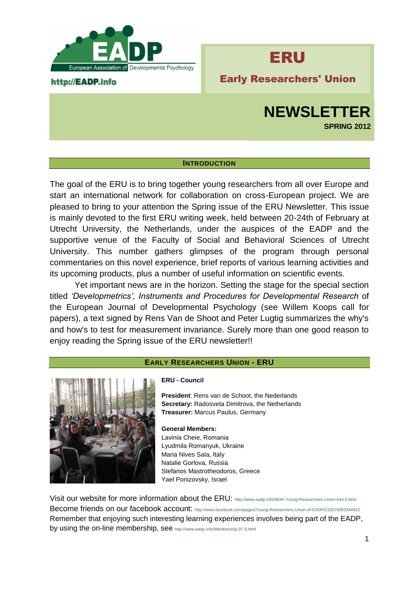

### http://EADP.info

# ERU

Early Researchers' Union

## **NEWSLETTER SPRING 2012**

### **INTRODUCTION**

The goal of the ERU is to bring together young researchers from all over Europe and start an international network for collaboration on cross-European project. We are pleased to bring to your attention the Spring issue of the ERU Newsletter. This issue is mainly devoted to the first ERU writing week, held between 20-24th of February at Utrecht University, the Netherlands, under the auspices of the EADP and the supportive venue of the Faculty of Social and Behavioral Sciences of Utrecht University. This number gathers glimpses of the program through personal commentaries on this novel experience, brief reports of various learning activities and its upcoming products, plus a number of useful information on scientific events.

Yet important news are in the horizon. Setting the stage for the special section titled *'Developmetrics', Instruments and Procedures for Developmental Research* of the European Journal of Developmental Psychology (see Willem Koops call for papers), a text signed by Rens Van de Shoot and Peter Lugtig summarizes the why's and how's to test for measurement invariance. Surely more than one good reason to enjoy reading the Spring issue of the ERU newsletter!!

### **EARLY RESEARCHERS UNION - ERU**



### **ERU - Council**

**President**: Rens van de Schoot, the Nederlands **Secretary:** Radosveta Dimitrova, the Netherlands **Treasurer:** Marcus Paulus, Germany

**General Members:** Lavinia Cheie, Romania Lyudmila Romanyuk, Ukraine Maria Nives Sala, Italy Natalie Gorlova, Russia Stefanos Mastrotheodoros, Greece Yael Ponizovsky, Israel

Visit our website for more information about the ERU: <http://www.eadp.info/NEW-Young-Researchers-Union.644.0.html> Become friends on our facebook account: <http://www.facebook.com/pages/Young-Researchers-Union-of-EADP/233576063344922> Remember that enjoying such interesting learning experiences involves being part of the EADP, by using the on-line membership, see <http://www.eadp.info/Membership.97.0.html>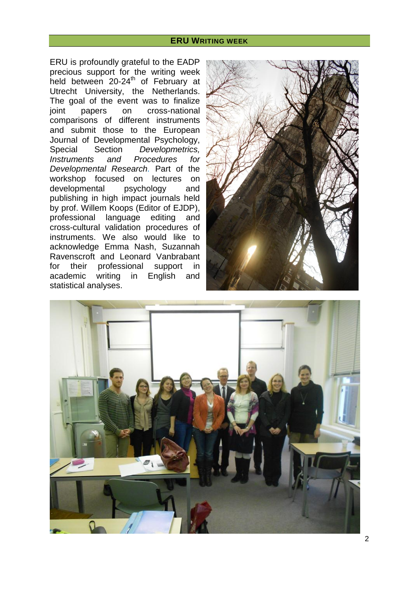### **ERU WRITING WEEK**

ERU is profoundly grateful to the EADP precious support for the writing week held between 20-24<sup>th</sup> of February at Utrecht University, the Netherlands. The goal of the event was to finalize joint papers on cross-national comparisons of different instruments and submit those to the European Journal of Developmental Psychology, Special Section *Developmetrics, Instruments and Procedures for Developmental Research.* Part of the workshop focused on lectures on developmental psychology and publishing in high impact journals held by prof. Willem Koops (Editor of EJDP), professional language editing and cross-cultural validation procedures of instruments. We also would like to acknowledge Emma Nash, Suzannah Ravenscroft and Leonard Vanbrabant for their professional support in academic writing in English and statistical analyses.



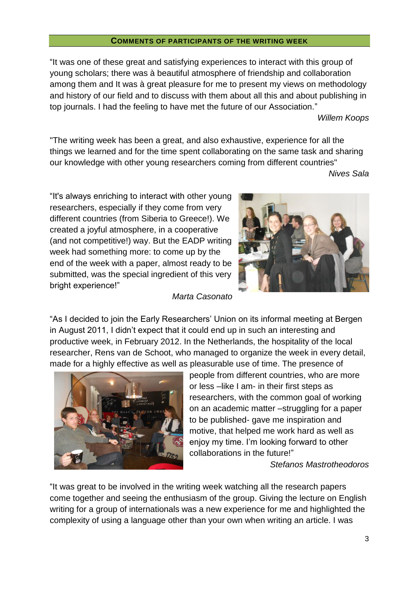### **COMMENTS OF PARTICIPANTS OF THE WRITING WEEK**

"It was one of these great and satisfying experiences to interact with this group of young scholars; there was à beautiful atmosphere of friendship and collaboration among them and It was à great pleasure for me to present my views on methodology and history of our field and to discuss with them about all this and about publishing in top journals. I had the feeling to have met the future of our Association."

### *Willem Koops*

"The writing week has been a great, and also exhaustive, experience for all the things we learned and for the time spent collaborating on the same task and sharing our knowledge with other young researchers coming from different countries"

*Nives Sala*

"It's always enriching to interact with other young researchers, especially if they come from very different countries (from Siberia to Greece!). We created a joyful atmosphere, in a cooperative (and not competitive!) way. But the EADP writing week had something more: to come up by the end of the week with a paper, almost ready to be submitted, was the special ingredient of this very bright experience!"

### *Marta Casonato*

"As I decided to join the Early Researchers' Union on its informal meeting at Bergen in August 2011, I didn't expect that it could end up in such an interesting and productive week, in February 2012. In the Netherlands, the hospitality of the local researcher, Rens van de Schoot, who managed to organize the week in every detail, made for a highly effective as well as pleasurable use of time. The presence of



people from different countries, who are more or less –like I am- in their first steps as researchers, with the common goal of working on an academic matter –struggling for a paper to be published- gave me inspiration and motive, that helped me work hard as well as enjoy my time. I'm looking forward to other collaborations in the future!"

*Stefanos Mastrotheodoros*

"It was great to be involved in the writing week watching all the research papers come together and seeing the enthusiasm of the group. Giving the lecture on English writing for a group of internationals was a new experience for me and highlighted the complexity of using a language other than your own when writing an article. I was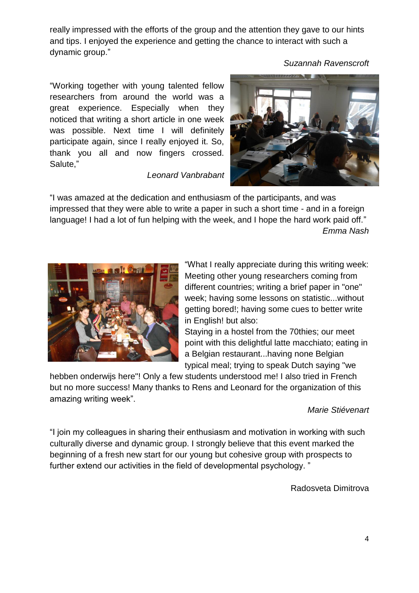really impressed with the efforts of the group and the attention they gave to our hints and tips. I enjoyed the experience and getting the chance to interact with such a dynamic group."

*Suzannah Ravenscroft*

"Working together with young talented fellow researchers from around the world was a great experience. Especially when they noticed that writing a short article in one week was possible. Next time I will definitely participate again, since I really enjoyed it. So, thank you all and now fingers crossed. Salute,"

*Leonard Vanbrabant*



"I was amazed at the dedication and enthusiasm of the participants, and was impressed that they were able to write a paper in such a short time - and in a foreign language! I had a lot of fun helping with the week, and I hope the hard work paid off." *Emma Nash*



"What I really appreciate during this writing week: Meeting other young researchers coming from different countries; writing a brief paper in "one" week; having some lessons on statistic...without getting bored!; having some cues to better write in English! but also:

Staying in a hostel from the 70thies; our meet point with this delightful latte macchiato; eating in a Belgian restaurant...having none Belgian typical meal; trying to speak Dutch saying "we

hebben onderwijs here"! Only a few students understood me! I also tried in French but no more success! Many thanks to Rens and Leonard for the organization of this amazing writing week".

### *Marie Stiévenart*

"I join my colleagues in sharing their enthusiasm and motivation in working with such culturally diverse and dynamic group. I strongly believe that this event marked the beginning of a fresh new start for our young but cohesive group with prospects to further extend our activities in the field of developmental psychology. "

Radosveta Dimitrova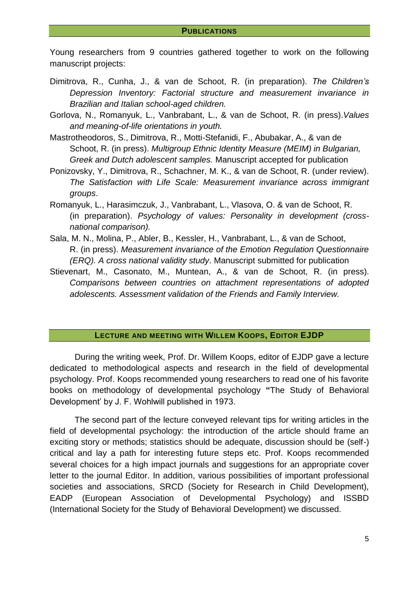Young researchers from 9 countries gathered together to work on the following manuscript projects:

- Dimitrova, R., Cunha, J., & van de Schoot, R. (in preparation). *The Children's Depression Inventory: Factorial structure and measurement invariance in Brazilian and Italian school-aged children.*
- Gorlova, N., Romanyuk, L., Vanbrabant, L., & van de Schoot, R. (in press).*Values and meaning-of-life orientations in youth.*
- Mastrotheodoros, S., Dimitrova, R., Motti-Stefanidi, F., Abubakar, A., & van de Schoot, R. (in press). *Multigroup Ethnic Identity Measure (MEIM) in Bulgarian, Greek and Dutch adolescent samples.* Manuscript accepted for publication
- Ponizovsky, Y., Dimitrova, R., Schachner, M. K., & van de Schoot, R. (under review). *The Satisfaction with Life Scale: Measurement invariance across immigrant groups*.
- Romanyuk, L., Harasimczuk, J., Vanbrabant, L., Vlasova, O. & van de Schoot, R. (in preparation). *Psychology of values: Personality in development (crossnational comparison).*
- Sala, M. N., Molina, P., Abler, B., Kessler, H., Vanbrabant, L., & van de Schoot, R. (in press). *Measurement invariance of the Emotion Regulation Questionnaire (ERQ). A cross national validity study*. Manuscript submitted for publication
- Stievenart, M., Casonato, M., Muntean, A., & van de Schoot, R. (in press). *Comparisons between countries on attachment representations of adopted adolescents. Assessment validation of the Friends and Family Interview.*

### **LECTURE AND MEETING WITH WILLEM KOOPS, EDITOR EJDP**

During the writing week, Prof. Dr. Willem Koops, editor of EJDP gave a lecture dedicated to methodological aspects and research in the field of developmental psychology. Prof. Koops recommended young researchers to read one of his favorite books on methodology of developmental psychology **"**The Study of Behavioral Development' by J. F. Wohlwill published in 1973.

The second part of the lecture conveyed relevant tips for writing articles in the field of developmental psychology: the introduction of the article should frame an exciting story or methods; statistics should be adequate, discussion should be (self-) critical and lay a path for interesting future steps etc. Prof. Koops recommended several choices for a high impact journals and suggestions for an appropriate cover letter to the journal Editor. In addition, various possibilities of important professional societies and associations, SRCD (Society for Research in Child Development), EADP (European Association of Developmental Psychology) and ISSBD (International Society for the Study of Behavioral Development) we discussed.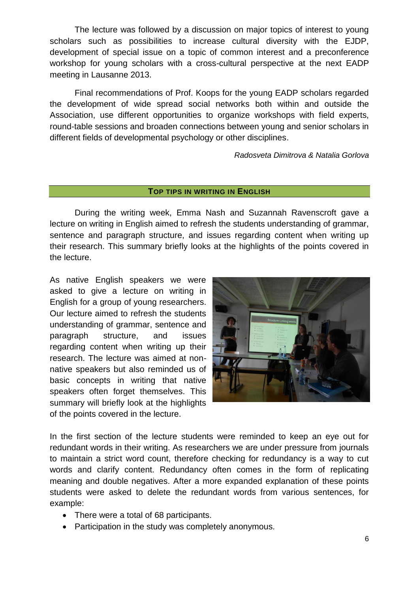The lecture was followed by a discussion on major topics of interest to young scholars such as possibilities to increase cultural diversity with the EJDP, development of special issue on a topic of common interest and a preconference workshop for young scholars with a cross-cultural perspective at the next EADP meeting in Lausanne 2013.

Final recommendations of Prof. Koops for the young EADP scholars regarded the development of wide spread social networks both within and outside the Association, use different opportunities to organize workshops with field experts, round-table sessions and broaden connections between young and senior scholars in different fields of developmental psychology or other disciplines.

*Radosveta Dimitrova & Natalia Gorlova*

### **TOP TIPS IN WRITING IN ENGLISH**

During the writing week, Emma Nash and Suzannah Ravenscroft gave a lecture on writing in English aimed to refresh the students understanding of grammar, sentence and paragraph structure, and issues regarding content when writing up their research. This summary briefly looks at the highlights of the points covered in the lecture.

As native English speakers we were asked to give a lecture on writing in English for a group of young researchers. Our lecture aimed to refresh the students understanding of grammar, sentence and paragraph structure, and issues regarding content when writing up their research. The lecture was aimed at nonnative speakers but also reminded us of basic concepts in writing that native speakers often forget themselves. This summary will briefly look at the highlights of the points covered in the lecture.



In the first section of the lecture students were reminded to keep an eye out for redundant words in their writing. As researchers we are under pressure from journals to maintain a strict word count, therefore checking for redundancy is a way to cut words and clarify content. Redundancy often comes in the form of replicating meaning and double negatives. After a more expanded explanation of these points students were asked to delete the redundant words from various sentences, for example:

- There were a total of 68 participants.
- Participation in the study was completely anonymous*.*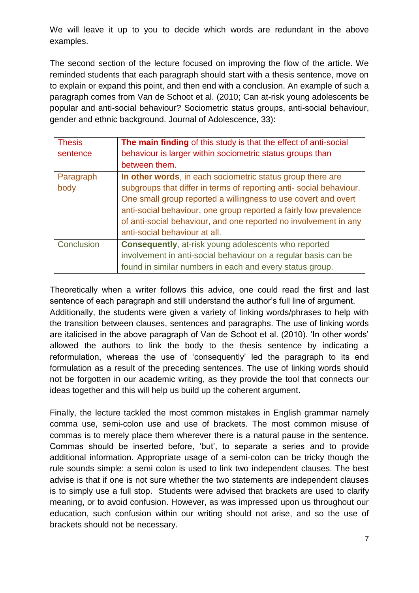We will leave it up to you to decide which words are redundant in the above examples.

The second section of the lecture focused on improving the flow of the article. We reminded students that each paragraph should start with a thesis sentence, move on to explain or expand this point, and then end with a conclusion. An example of such a paragraph comes from Van de Schoot et al. (2010; Can at-risk young adolescents be popular and anti-social behaviour? Sociometric status groups, anti-social behaviour, gender and ethnic background. Journal of Adolescence, 33):

| <b>Thesis</b> | The main finding of this study is that the effect of anti-social   |
|---------------|--------------------------------------------------------------------|
| sentence      | behaviour is larger within sociometric status groups than          |
|               | between them.                                                      |
| Paragraph     | In other words, in each sociometric status group there are         |
| body          | subgroups that differ in terms of reporting anti-social behaviour. |
|               | One small group reported a willingness to use covert and overt     |
|               | anti-social behaviour, one group reported a fairly low prevalence  |
|               | of anti-social behaviour, and one reported no involvement in any   |
|               | anti-social behaviour at all.                                      |
| Conclusion    | <b>Consequently, at-risk young adolescents who reported</b>        |
|               | involvement in anti-social behaviour on a regular basis can be     |
|               | found in similar numbers in each and every status group.           |

Theoretically when a writer follows this advice, one could read the first and last sentence of each paragraph and still understand the author's full line of argument. Additionally, the students were given a variety of linking words/phrases to help with the transition between clauses, sentences and paragraphs. The use of linking words are italicised in the above paragraph of Van de Schoot et al. (2010). 'In other words' allowed the authors to link the body to the thesis sentence by indicating a reformulation, whereas the use of 'consequently' led the paragraph to its end formulation as a result of the preceding sentences. The use of linking words should not be forgotten in our academic writing, as they provide the tool that connects our ideas together and this will help us build up the coherent argument.

Finally, the lecture tackled the most common mistakes in English grammar namely comma use, semi-colon use and use of brackets. The most common misuse of commas is to merely place them wherever there is a natural pause in the sentence. Commas should be inserted before, 'but', to separate a series and to provide additional information. Appropriate usage of a semi-colon can be tricky though the rule sounds simple: a semi colon is used to link two independent clauses. The best advise is that if one is not sure whether the two statements are independent clauses is to simply use a full stop. Students were advised that brackets are used to clarify meaning, or to avoid confusion. However, as was impressed upon us throughout our education, such confusion within our writing should not arise, and so the use of brackets should not be necessary.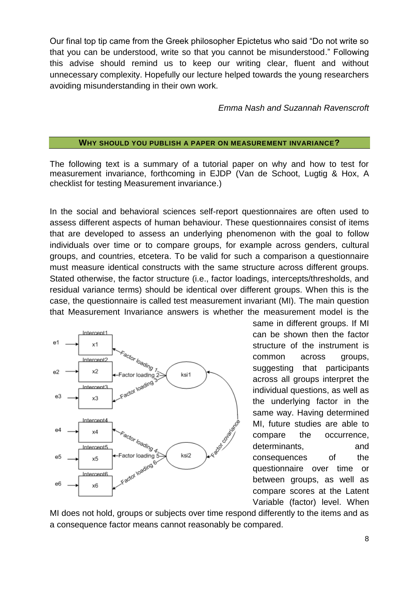Our final top tip came from the Greek philosopher Epictetus who said "Do not write so that you can be understood, write so that you cannot be misunderstood." Following this advise should remind us to keep our writing clear, fluent and without unnecessary complexity. Hopefully our lecture helped towards the young researchers avoiding misunderstanding in their own work.

*Emma Nash and Suzannah Ravenscroft*

### **WHY SHOULD YOU PUBLISH A PAPER ON MEASUREMENT INVARIANCE?**

The following text is a summary of a tutorial paper on why and how to test for measurement invariance, forthcoming in EJDP (Van de Schoot, Lugtig & Hox, A checklist for testing Measurement invariance.)

In the social and behavioral sciences self-report questionnaires are often used to assess different aspects of human behaviour. These questionnaires consist of items that are developed to assess an underlying phenomenon with the goal to follow individuals over time or to compare groups, for example across genders, cultural groups, and countries, etcetera. To be valid for such a comparison a questionnaire must measure identical constructs with the same structure across different groups. Stated otherwise, the factor structure (i.e., factor loadings, intercepts/thresholds, and residual variance terms) should be identical over different groups. When this is the case, the questionnaire is called test measurement invariant (MI). The main question that Measurement Invariance answers is whether the measurement model is the



same in different groups. If MI can be shown then the factor structure of the instrument is common across groups, suggesting that participants across all groups interpret the individual questions, as well as the underlying factor in the same way. Having determined MI, future studies are able to compare the occurrence, determinants, and consequences of the questionnaire over time or between groups, as well as compare scores at the Latent Variable (factor) level. When

MI does not hold, groups or subjects over time respond differently to the items and as a consequence factor means cannot reasonably be compared.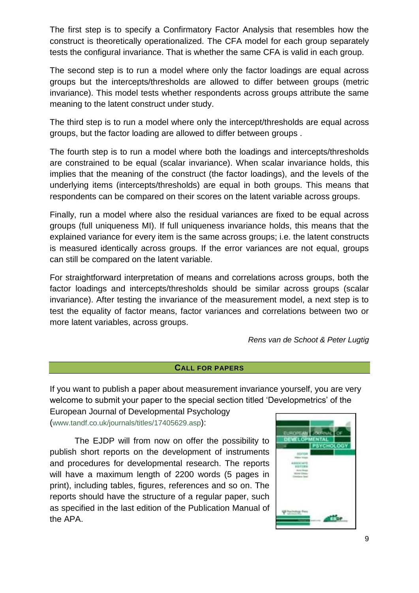The first step is to specify a Confirmatory Factor Analysis that resembles how the construct is theoretically operationalized. The CFA model for each group separately tests the configural invariance. That is whether the same CFA is valid in each group.

The second step is to run a model where only the factor loadings are equal across groups but the intercepts/thresholds are allowed to differ between groups (metric invariance). This model tests whether respondents across groups attribute the same meaning to the latent construct under study.

The third step is to run a model where only the intercept/thresholds are equal across groups, but the factor loading are allowed to differ between groups .

The fourth step is to run a model where both the loadings and intercepts/thresholds are constrained to be equal (scalar invariance). When scalar invariance holds, this implies that the meaning of the construct (the factor loadings), and the levels of the underlying items (intercepts/thresholds) are equal in both groups. This means that respondents can be compared on their scores on the latent variable across groups.

Finally, run a model where also the residual variances are fixed to be equal across groups (full uniqueness MI). If full uniqueness invariance holds, this means that the explained variance for every item is the same across groups; i.e. the latent constructs is measured identically across groups. If the error variances are not equal, groups can still be compared on the latent variable.

For straightforward interpretation of means and correlations across groups, both the factor loadings and intercepts/thresholds should be similar across groups (scalar invariance). After testing the invariance of the measurement model, a next step is to test the equality of factor means, factor variances and correlations between two or more latent variables, across groups.

*Rens van de Schoot & Peter Lugtig*

### **CALL FOR PAPERS**

If you want to publish a paper about measurement invariance yourself, you are very welcome to submit your paper to the special section titled 'Developmetrics' of the

European Journal of Developmental Psychology ([www.tandf.co.uk/journals/titles/17405629.asp](http://www.tandf.co.uk/journals/titles/17405629.asp)):

The EJDP will from now on offer the possibility to publish short reports on the development of instruments and procedures for developmental research. The reports will have a maximum length of 2200 words (5 pages in print), including tables, figures, references and so on. The reports should have the structure of a regular paper, such as specified in the last edition of the Publication Manual of the APA.

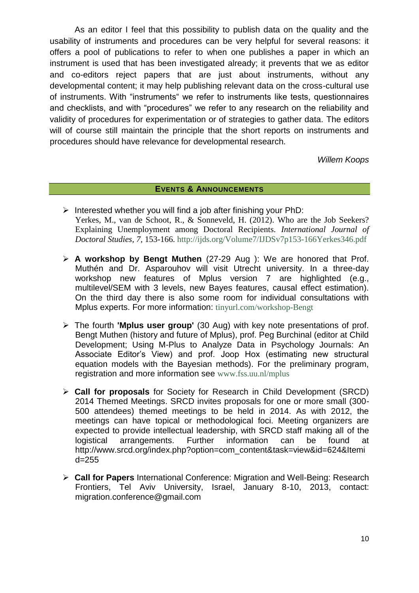As an editor I feel that this possibility to publish data on the quality and the usability of instruments and procedures can be very helpful for several reasons: it offers a pool of publications to refer to when one publishes a paper in which an instrument is used that has been investigated already; it prevents that we as editor and co-editors reject papers that are just about instruments, without any developmental content; it may help publishing relevant data on the cross-cultural use of instruments. With "instruments" we refer to instruments like tests, questionnaires and checklists, and with "procedures" we refer to any research on the reliability and validity of procedures for experimentation or of strategies to gather data. The editors will of course still maintain the principle that the short reports on instruments and procedures should have relevance for developmental research.

*Willem Koops*

### **EVENTS & ANNOUNCEMENTS**

- $\triangleright$  Interested whether you will find a job after finishing your PhD: Yerkes, M., van de Schoot, R., & Sonneveld, H. (2012). Who are the Job Seekers? Explaining Unemployment among Doctoral Recipients. *[International Journal of](http://www.ijds.org/)  [Doctoral Studies,](http://www.ijds.org/) 7,* 153-166.<http://ijds.org/Volume7/IJDSv7p153-166Yerkes346.pdf>
- **A workshop by Bengt Muthen** (27-29 Aug ): We are honored that Prof. Muthén and Dr. Asparouhov will visit Utrecht university. In a three-day workshop new features of Mplus version 7 are highlighted (e.g., multilevel/SEM with 3 levels, new Bayes features, causal effect estimation). On the third day there is also some room for individual consultations with Mplus experts. For more information: tinyurl.com/workshop-Bengt
- The fourth **'Mplus user group'** (30 Aug) with key note presentations of prof. Bengt Muthen (history and future of Mplus), prof. Peg Burchinal (editor at Child Development; Using M-Plus to Analyze Data in Psychology Journals: An Associate Editor's View) and prof. Joop Hox (estimating new structural equation models with the Bayesian methods). For the preliminary program, registration and more information see [www.fss.uu.nl/mplus](https://solismail.uu.nl/owa/UrlBlockedError.aspx)
- **Call for proposals** for Society for Research in Child Development (SRCD) 2014 Themed Meetings. SRCD invites proposals for one or more small (300- 500 attendees) themed meetings to be held in 2014. As with 2012, the meetings can have topical or methodological foci. Meeting organizers are expected to provide intellectual leadership, with SRCD staff making all of the logistical arrangements. Further information can be found at [http://www.srcd.org/index.php?option=com\\_content&task=view&id=624&Itemi](http://www.srcd.org/index.php?option=com_content&task=view&id=624&Itemid=255) [d=255](http://www.srcd.org/index.php?option=com_content&task=view&id=624&Itemid=255)
- **Call for Papers** International Conference: Migration and Well-Being: Research Frontiers, Tel Aviv University, Israel, January 8-10, [2013,](tel:2013) contact: [migration.conference@gmail.com](https://email.campus.uvt.nl/owa/redir.aspx?C=ccffbb2e35e3450faacdd621eb6d6797&URL=mailto%3amigration.conference%40gmail.com)